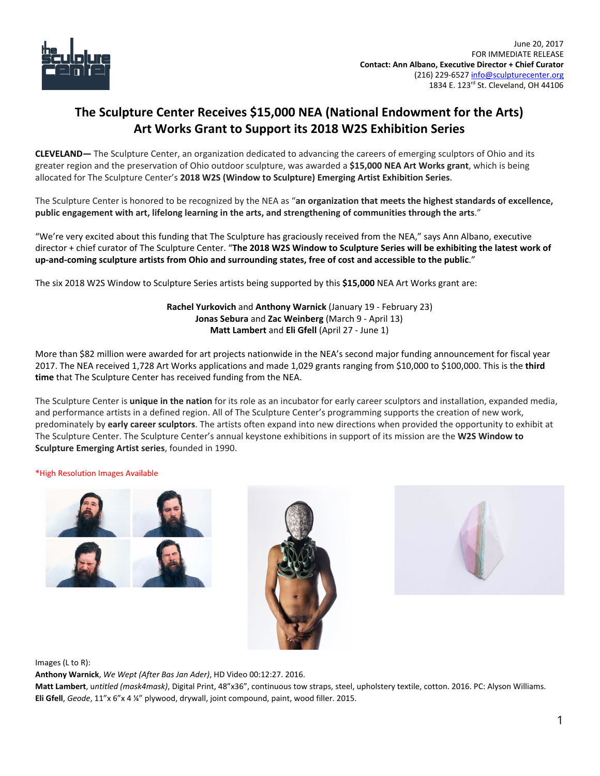

## **The Sculpture Center Receives \$15,000 NEA (National Endowment for the Arts) Art Works Grant to Support its 2018 W2S Exhibition Series**

**CLEVELAND—** The Sculpture Center, an organization dedicated to advancing the careers of emerging sculptors of Ohio and its greater region and the preservation of Ohio outdoor sculpture, was awarded a **\$15,000 NEA Art Works grant**, which is being allocated for The Sculpture Center's **2018 W2S (Window to Sculpture) Emerging Artist Exhibition Series**.

The Sculpture Center is honored to be recognized by the NEA as "**an organization that meets the highest standards of excellence, public engagement with art, lifelong learning in the arts, and strengthening of communities through the arts**."

"We're very excited about this funding that The Sculpture has graciously received from the NEA," says Ann Albano, executive director + chief curator of The Sculpture Center. "The 2018 W2S Window to Sculpture Series will be exhibiting the latest work of **up-and-coming sculpture artists from Ohio and surrounding states, free of cost and accessible to the public**. "

The six 2018 W2S Window to Sculpture Series artists being supported by this **\$15,000** NEA Art Works grant are:

**Rachel Yurkovich** and **Anthony Warnick** (January 19 - February 23) **Jonas Sebura** and **Zac Weinberg** (March 9 - April 13) **Matt Lambert** and **Eli Gfell** (April 27 - June 1)

More than \$82 million were awarded for art projects nationwide in the NEA's second major funding announcement for fiscal year 2017. The NEA received 1,728 Art Works applications and made 1,029 grants ranging from \$10,000 to \$100,000. This is the **third time** that The Sculpture Center has received funding from the NEA.

The Sculpture Center is **unique in the nation** for its role as an incubator for early career sculptors and installation, expanded media, and performance artists in a defined region. All of The Sculpture Center's programming supports the creation of new work, predominately by **early career sculptors**. The artists often expand into new directions when provided the opportunity to exhibit at The Sculpture Center. The Sculpture Center's annual keystone exhibitions in support of its mission are the **W2S Window to Sculpture Emerging Artist series**, founded in 1990.

\*High Resolution Images Available







Images (L to R):

**Anthony Warnick**, *We Wept (After Bas Jan Ader)*, HD Video 00:12:27. 2016.

**Matt Lambert**, u*ntitled (mask4mask)*, Digital Print, 48"x36", continuous tow straps, steel, upholstery textile, cotton. 2016. PC: Alyson Williams. **Eli Gfell**, *Geode*, 11"x 6"x 4 ¼" plywood, drywall, joint compound, paint, wood filler. 2015.